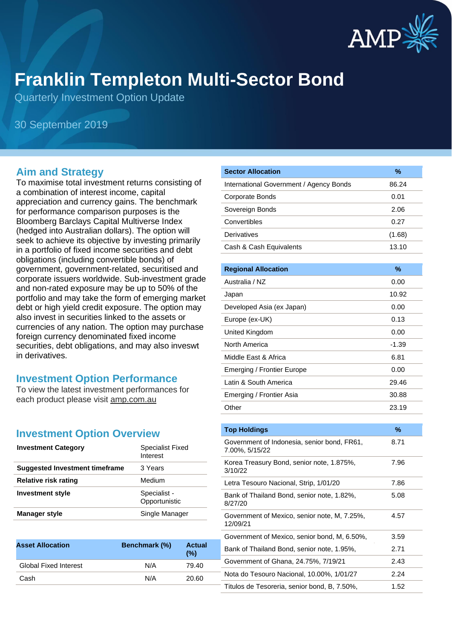

# **Franklin Templeton Multi-Sector Bond**

Quarterly Investment Option Update

30 September 2019

#### **Aim and Strategy**

To maximise total investment returns consisting of a combination of interest income, capital appreciation and currency gains. The benchmark for performance comparison purposes is the Bloomberg Barclays Capital Multiverse Index (hedged into Australian dollars). The option will seek to achieve its objective by investing primarily in a portfolio of fixed income securities and debt obligations (including convertible bonds) of government, government-related, securitised and corporate issuers worldwide. Sub-investment grade and non-rated exposure may be up to 50% of the portfolio and may take the form of emerging market debt or high yield credit exposure. The option may also invest in securities linked to the assets or currencies of any nation. The option may purchase foreign currency denominated fixed income securities, debt obligations, and may also inveswt in derivatives.

#### **Investment Option Performance**

To view the latest investment performances for each product please visit amp.com.au

#### **Investment Option Overview**

| <b>Investment Category</b>     | <b>Specialist Fixed</b><br>Interest |
|--------------------------------|-------------------------------------|
| Suggested Investment timeframe | 3 Years                             |
| Relative risk rating           | Medium                              |
| <b>Investment style</b>        | Specialist -<br>Opportunistic       |
| <b>Manager style</b>           | Single Manager                      |

| <b>Asset Allocation</b>      | Benchmark (%) | <b>Actual</b><br>(% ) |
|------------------------------|---------------|-----------------------|
| <b>Global Fixed Interest</b> | N/A           | 79.40                 |
| Cash                         | N/A           | 20.60                 |
|                              |               |                       |

| <b>Sector Allocation</b>                | %      |
|-----------------------------------------|--------|
| International Government / Agency Bonds | 86.24  |
| Corporate Bonds                         | 0.01   |
| Sovereign Bonds                         | 2.06   |
| Convertibles                            | 0.27   |
| Derivatives                             | (1.68) |
| Cash & Cash Equivalents                 | 13.10  |

| <b>Regional Allocation</b> | %     |
|----------------------------|-------|
| Australia / NZ             | 0.00  |
| Japan                      | 10.92 |
| Developed Asia (ex Japan)  | 0.00  |
| Europe (ex-UK)             | 0.13  |
| United Kingdom             | 0.00  |
| North America              | -1.39 |
| Middle East & Africa       | 6.81  |
| Emerging / Frontier Europe | 0.00  |
| Latin & South America      | 29.46 |
| Emerging / Frontier Asia   | 30.88 |
| Other                      | 23.19 |

| <b>Top Holdings</b>                                           | %    |
|---------------------------------------------------------------|------|
| Government of Indonesia, senior bond, FR61,<br>7.00%, 5/15/22 | 8.71 |
| Korea Treasury Bond, senior note, 1.875%,<br>3/10/22          | 7.96 |
| Letra Tesouro Nacional, Strip, 1/01/20                        | 7.86 |
| Bank of Thailand Bond, senior note, 1.82%,<br>8/27/20         | 5.08 |
| Government of Mexico, senior note, M, 7.25%,<br>12/09/21      | 4.57 |
| Government of Mexico, senior bond, M, 6.50%,                  | 3.59 |
| Bank of Thailand Bond, senior note, 1.95%,                    | 2.71 |
| Government of Ghana, 24.75%, 7/19/21                          | 2.43 |
| Nota do Tesouro Nacional, 10.00%, 1/01/27                     | 2.24 |
| Titulos de Tesoreria, senior bond, B, 7.50%,                  | 1.52 |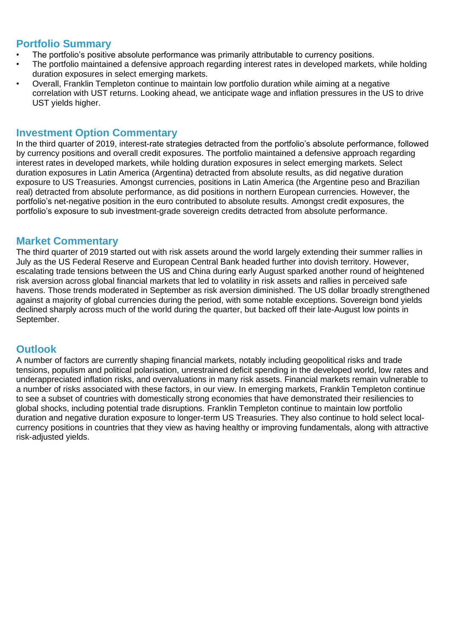### **Portfolio Summary**

- The portfolio's positive absolute performance was primarily attributable to currency positions.
- The portfolio maintained a defensive approach regarding interest rates in developed markets, while holding duration exposures in select emerging markets.
- Overall, Franklin Templeton continue to maintain low portfolio duration while aiming at a negative correlation with UST returns. Looking ahead, we anticipate wage and inflation pressures in the US to drive UST yields higher.

#### **Investment Option Commentary**

In the third quarter of 2019, interest-rate strategies detracted from the portfolio's absolute performance, followed by currency positions and overall credit exposures. The portfolio maintained a defensive approach regarding interest rates in developed markets, while holding duration exposures in select emerging markets. Select duration exposures in Latin America (Argentina) detracted from absolute results, as did negative duration exposure to US Treasuries. Amongst currencies, positions in Latin America (the Argentine peso and Brazilian real) detracted from absolute performance, as did positions in northern European currencies. However, the portfolio's net-negative position in the euro contributed to absolute results. Amongst credit exposures, the portfolio's exposure to sub investment-grade sovereign credits detracted from absolute performance.

#### **Market Commentary**

The third quarter of 2019 started out with risk assets around the world largely extending their summer rallies in July as the US Federal Reserve and European Central Bank headed further into dovish territory. However, escalating trade tensions between the US and China during early August sparked another round of heightened risk aversion across global financial markets that led to volatility in risk assets and rallies in perceived safe havens. Those trends moderated in September as risk aversion diminished. The US dollar broadly strengthened against a majority of global currencies during the period, with some notable exceptions. Sovereign bond yields declined sharply across much of the world during the quarter, but backed off their late-August low points in September.

## **Outlook**

A number of factors are currently shaping financial markets, notably including geopolitical risks and trade tensions, populism and political polarisation, unrestrained deficit spending in the developed world, low rates and underappreciated inflation risks, and overvaluations in many risk assets. Financial markets remain vulnerable to a number of risks associated with these factors, in our view. In emerging markets, Franklin Templeton continue to see a subset of countries with domestically strong economies that have demonstrated their resiliencies to global shocks, including potential trade disruptions. Franklin Templeton continue to maintain low portfolio duration and negative duration exposure to longer-term US Treasuries. They also continue to hold select localcurrency positions in countries that they view as having healthy or improving fundamentals, along with attractive risk-adjusted yields.